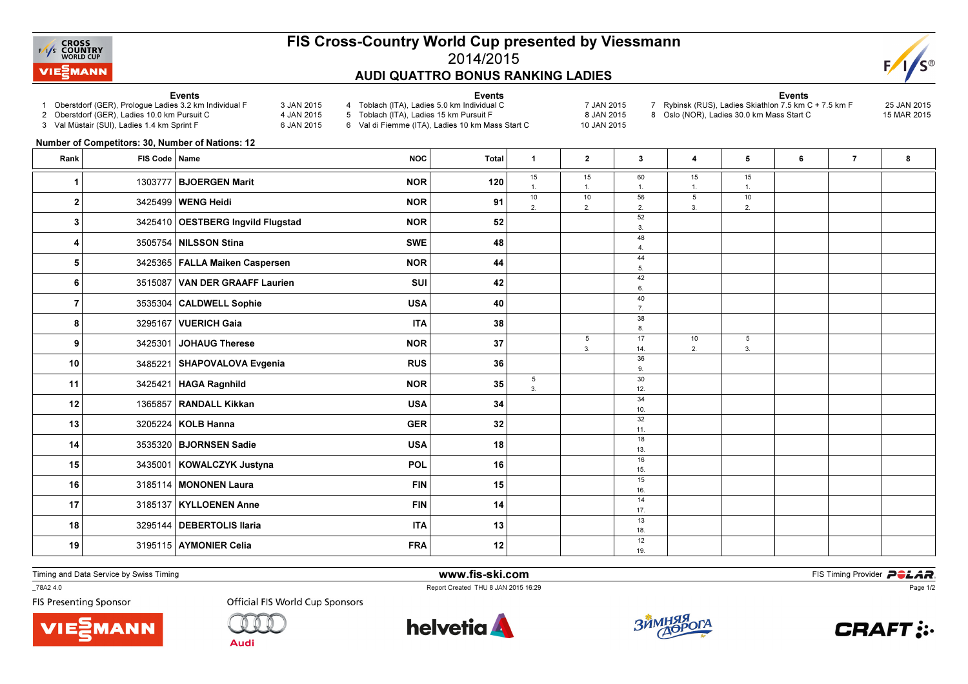

## FIS Cross-Country World Cup presented by Viessmann2014/2015AUDI QUATTRO BONUS RANKING LADIES

Events

NOC Total <sup>1</sup> <sup>2</sup> <sup>3</sup> <sup>4</sup> <sup>5</sup> <sup>6</sup> <sup>7</sup> <sup>8</sup>

15 1.10

2.

53.

 $60$  1.56

> 2.52

 $\overline{3}$ 

48 $\lambda$ 

44 $\overline{5}$ 

42 $\mathbf{a}$ 

40 $\overline{7}$ .

388

17 14.36

 $\overline{9}$ 

 $30$  $12<sub>1</sub>$ 

34 $10.$ 

32 $11.$ 

18 $13.$ 

1615.

1516.

14 $17.$ 

1318.

1219.

15 1.10

2.

53.



## Events

- 1 Oberstdorf (GER), Prologue Ladies 3.2 km Individual F 3 JAN 2015
- 2 Oberstdorf (GER), Ladies 10.0 km Pursuit C
- 3 Val Müstair (SUI), Ladies 1.4 km Sprint F

Rank FIS Code Name

- 4 Toblach (ITA), Ladies 5.0 km Individual C 7 JAN 2015
- 4 JAN 2015 6 JAN 2015 5 Toblach (ITA), Ladies 15 km Pursuit F

1.<sup>1</sup> <sup>1303777</sup> BJOERGEN Marit NOR <sup>120</sup>

2.<sup>2</sup>

9 3425301 JOHAUG Therese NOR NOR 37 3 425301 JOHAUG Therese

 $\begin{array}{ccc} 3 & 3425410 \end{array}$  OESTBERG Ingvild Flugstad  $\begin{array}{ccc} \text{NOR} \end{array}$   $\begin{array}{ccc} \text{NOR} \end{array}$   $\begin{array}{ccc} \text{52} \end{array}$ 

4.<sup>4</sup> <sup>3505754</sup> NILSSON Stina SWE <sup>48</sup>

 $\begin{array}{|c|c|c|c|c|}\hline \texttt{5} & \texttt{3425365} & \texttt{FALLA Maiken Casperson} \hline \end{array}$ 

 $\begin{bmatrix} 6 \end{bmatrix}$  3515087 VAN DER GRAAFF Laurien SUI SUI 301 | 42 |  $\begin{bmatrix} 4 \end{bmatrix}$ 

 $\begin{array}{|c|c|c|c|c|}\hline \text{7} & \text{3535304}\end{array}$  CALDWELL Sophie  $\begin{array}{|c|c|c|c|}\hline \text{7} & \text{108A} & \text{40} & \text{7} \ \hline \end{array}$ 

8.<sup>8</sup>

10 3485221 SHAPOVALOVA Evgenia RUS RUS 36 36 36 36

12.<sup>11</sup> <sup>3425421</sup> HAGA Ragnhildd  $NOR$  35

12 1365857 RANDALL Kikkan USA USA  $\begin{bmatrix} 1 & 34 \end{bmatrix}$  13.

13  $3205224$  KOLB Hanna  $\frac{1}{11}$ 

14 3535320 BJORNSEN Sadie USA USA 18 18 19 19 19

15.<sup>15</sup> <sup>3435001</sup> KOWALCZYK Justyna POL <sup>16</sup>

16 3185114 MONONEN Laura FIN 15 15 16.

17  $\vert$  3185137 KYLLOENEN Anne FIN FIN 14 14

n USA  $\vert$  34

- 6 Val di Fiemme (ITA), Ladies 10 km Mass Start C
- 8 JAN 2015 10 JAN 2015

15 1.5

3.

102.

Events 7 Rybinsk (RUS), Ladies Skiathlon 7.5 km C + 7.5 km F 25 JAN 20158 Oslo (NOR), Ladies 30.0 km Mass Start C

> 15 $\overline{1}$

10 $2.$ 

5 $\overline{3}$ .

- 
- 15 MAR 2015

Number of Competitors: 30, Number of Nations: 12

18.<sup>18</sup> <sup>3295144</sup> DEBERTOLIS Ilaria ITA <sup>13</sup> 19. 3195115 AYMONIER Celia FRA 12 12 12 13 is

12 1365857

Timing and Data Service by Swiss Timing

 www.fis-ski.comReport Created THU 8 JAN 2015 16:29

**m**<br>FIS Timing Provider<br>F<sup>16.30</sup>

Page 1/2

\_78A2 4.0

**FIS Presenting Sponsor** 





 $\begin{array}{|c|c|c|c|}\hline \text{3425499} & \text{WENG Heidi} \end{array} \qquad \qquad \begin{array}{c} \text{NOR} \end{array} \qquad \qquad \begin{array}{c} \text{91} \end{array}$ 

<sup>3295167</sup> VUERICH Gaia ITA <sup>38</sup>

<sup>3425301</sup> JOHAUG Therese NOR <sup>37</sup>

 $3$  3205224 KOLB Hanna GER GER

17 3185137 KYLLOENEN Anne FIN 14

**Official FIS World Cup Sponsors** 

RANDALL Kikkan